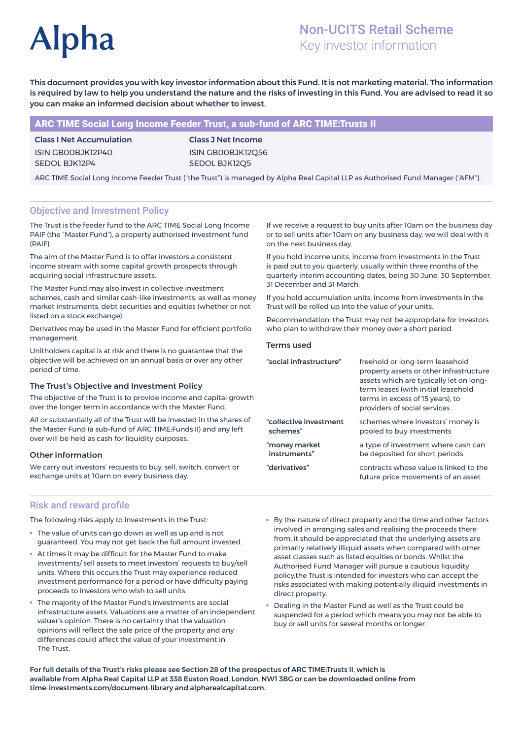# **Alpha**

# Non-UCITS Retail Scheme Key investor information

This document provides you with key investor information about this Fund. It is not marketing material. The information is required by law to help you understand the nature and the risks of investing in this Fund. You are advised to read it so you can make an informed decision about whether to invest.

# ARC TIME Social Long Income Feeder Trust, a sub-fund of ARC TIME:Trusts II

Class I Net Accumulation ISIN GB00BJK12P40 SEDOL BJK12P4

Class J Net Income ISIN GB00BJK12Q56 SEDOL BJK12Q5

ARC TIME Social Long Income Feeder Trust ("the Trust") is managed by Alpha Real Capital LLP as Authorised Fund Manager ("AFM").

# Objective and Investment Policy

The Trust is the feeder fund to the ARC TIME Social Long Income PAIF (the "Master Fund"), a property authorised investment fund (PAIF).

The aim of the Master Fund is to offer investors a consistent income stream with some capital growth prospects through acquiring social infrastructure assets.

The Master Fund may also invest in collective investment schemes, cash and similar cash-like investments, as well as money market instruments, debt securities and equities (whether or not listed on a stock exchange).

Derivatives may be used in the Master Fund for efficient portfolio management.

Unitholders capital is at risk and there is no guarantee that the objective will be achieved on an annual basis or over any other period of time.

#### The Trust's Objective and Investment Policy

The objective of the Trust is to provide income and capital growth over the longer term in accordance with the Master Fund.

All or substantially all of the Trust will be invested in the shares of the Master Fund (a sub-fund of ARC TIME:Funds II) and any left over will be held as cash for liquidity purposes.

### Other information

We carry out investors' requests to buy, sell, switch, convert or exchange units at 10am on every business day.

If we receive a request to buy units after 10am on the business day or to sell units after 10am on any business day, we will deal with it on the next business day.

If you hold income units, income from investments in the Trust is paid out to you quarterly, usually within three months of the quarterly interim accounting dates, being 30 June, 30 September, 31 December and 31 March.

If you hold accumulation units, income from investments in the Trust will be rolled up into the value of your units.

Recommendation: the Trust may not be appropriate for investors who plan to withdraw their money over a short period.

#### Terms used

| "social infrastructure" | freehold or long-term leasehold<br>property assets or other infrastructure<br>assets which are typically let on long-<br>term leases (with initial leasehold<br>terms in excess of 15 years), to<br>providers of social services |
|-------------------------|----------------------------------------------------------------------------------------------------------------------------------------------------------------------------------------------------------------------------------|
| "collective investment  | schemes where investors' money is                                                                                                                                                                                                |
| schemes"                | pooled to buy investments                                                                                                                                                                                                        |
| "money market           | a type of investment where cash can                                                                                                                                                                                              |
| instruments"            | be deposited for short periods                                                                                                                                                                                                   |
| "derivatives"           | contracts whose value is linked to the<br>future price movements of an asset                                                                                                                                                     |

### Risk and reward profile

The following risks apply to investments in the Trust:

- The value of units can go down as well as up and is not guaranteed. You may not get back the full amount invested.
- At times it may be difficult for the Master Fund to make investments/ sell assets to meet investors' requests to buy/sell units. Where this occurs the Trust may experience reduced investment performance for a period or have difficulty paying proceeds to investors who wish to sell units.
- The majority of the Master Fund's investments are social infrastructure assets. Valuations are a matter of an independent valuer's opinion. There is no certainty that the valuation opinions will reflect the sale price of the property and any differences could affect the value of your investment in The Trust.
- By the nature of direct property and the time and other factors involved in arranging sales and realising the proceeds there from, it should be appreciated that the underlying assets are primarily relatively illiquid assets when compared with other asset classes such as listed equities or bonds. Whilst the Authorised Fund Manager will pursue a cautious liquidity policy,the Trust is intended for investors who can accept the risks associated with making potentially illiquid investments in direct property.
- Dealing in the Master Fund as well as the Trust could be suspended for a period which means you may not be able to buy or sell units for several months or longer.

For full details of the Trust's risks please see Section 28 of the prospectus of ARC TIME:Trusts II, which is available from Alpha Real Capital LLP at 338 Euston Road, London, NW1 3BG or can be downloaded online from time-investments.com/document-library and alpharealcapital.com.